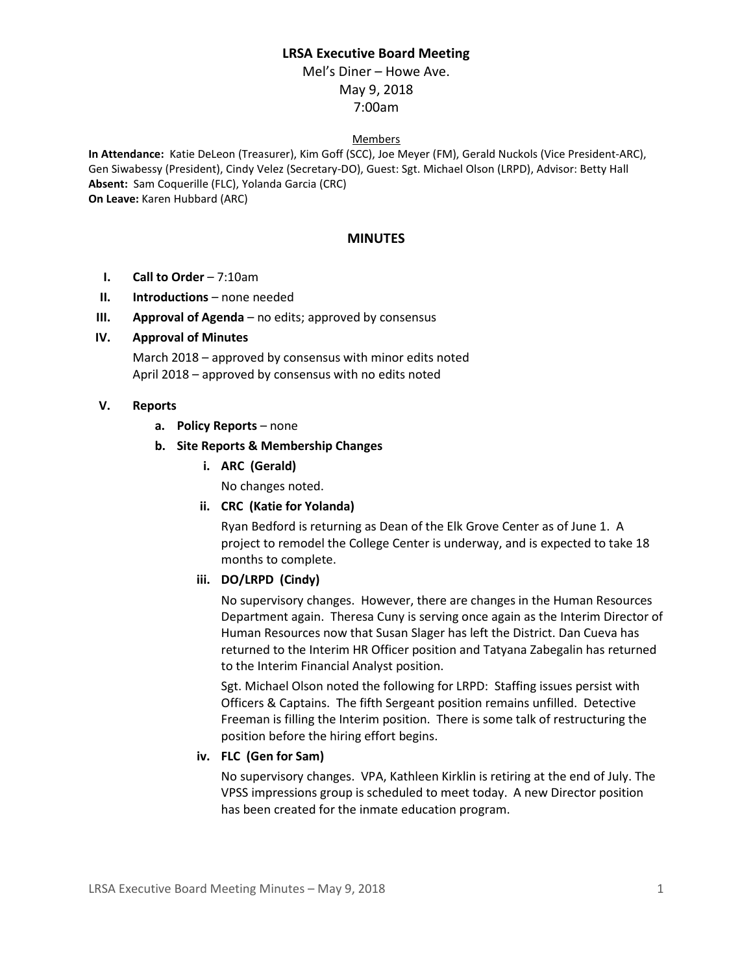## **LRSA Executive Board Meeting**

# Mel's Diner – Howe Ave. May 9, 2018 7:00am

#### Members

**In Attendance:** Katie DeLeon (Treasurer), Kim Goff (SCC), Joe Meyer (FM), Gerald Nuckols (Vice President-ARC), Gen Siwabessy (President), Cindy Velez (Secretary-DO), Guest: Sgt. Michael Olson (LRPD), Advisor: Betty Hall **Absent:** Sam Coquerille (FLC), Yolanda Garcia (CRC) **On Leave:** Karen Hubbard (ARC)

#### **MINUTES**

- **I. Call to Order** 7:10am
- **II. Introductions** none needed
- **III. Approval of Agenda** no edits; approved by consensus

### **IV. Approval of Minutes**

March 2018 – approved by consensus with minor edits noted April 2018 – approved by consensus with no edits noted

### **V. Reports**

**a. Policy Reports** – none

### **b. Site Reports & Membership Changes**

**i. ARC (Gerald)**

No changes noted.

**ii. CRC (Katie for Yolanda)**

Ryan Bedford is returning as Dean of the Elk Grove Center as of June 1. A project to remodel the College Center is underway, and is expected to take 18 months to complete.

#### **iii. DO/LRPD (Cindy)**

No supervisory changes. However, there are changes in the Human Resources Department again. Theresa Cuny is serving once again as the Interim Director of Human Resources now that Susan Slager has left the District. Dan Cueva has returned to the Interim HR Officer position and Tatyana Zabegalin has returned to the Interim Financial Analyst position.

Sgt. Michael Olson noted the following for LRPD: Staffing issues persist with Officers & Captains. The fifth Sergeant position remains unfilled. Detective Freeman is filling the Interim position. There is some talk of restructuring the position before the hiring effort begins.

## **iv. FLC (Gen for Sam)**

No supervisory changes. VPA, Kathleen Kirklin is retiring at the end of July. The VPSS impressions group is scheduled to meet today. A new Director position has been created for the inmate education program.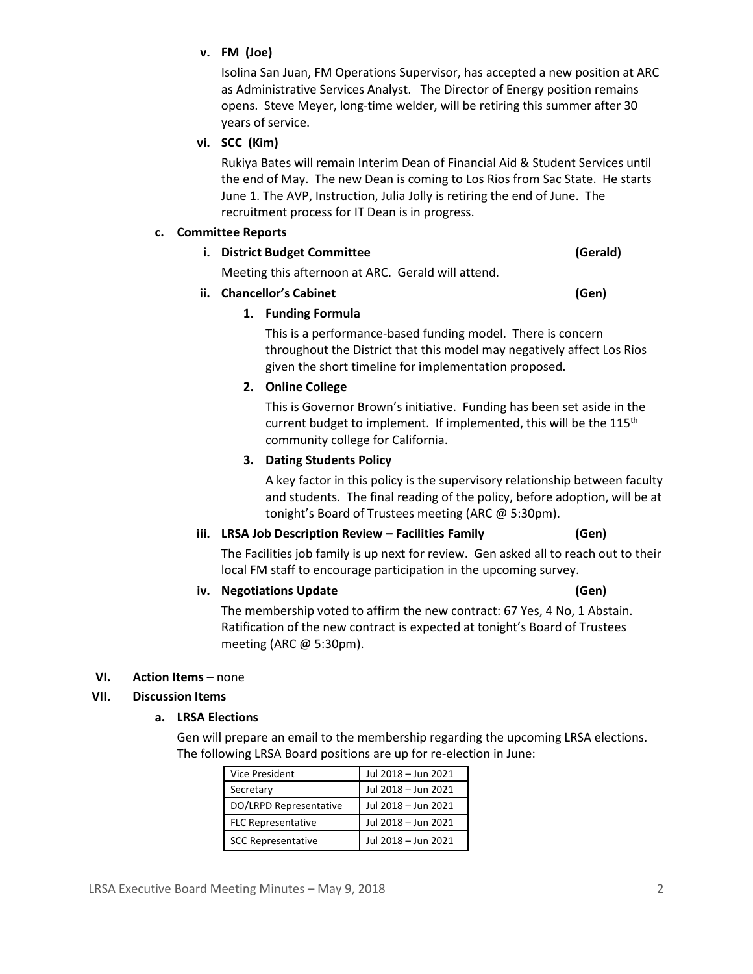## **v. FM (Joe)**

Isolina San Juan, FM Operations Supervisor, has accepted a new position at ARC as Administrative Services Analyst. The Director of Energy position remains opens. Steve Meyer, long-time welder, will be retiring this summer after 30 years of service.

## **vi. SCC (Kim)**

Rukiya Bates will remain Interim Dean of Financial Aid & Student Services until the end of May. The new Dean is coming to Los Rios from Sac State. He starts June 1. The AVP, Instruction, Julia Jolly is retiring the end of June. The recruitment process for IT Dean is in progress.

#### **c. Committee Reports**

## **i. District Budget Committee (Gerald)**

Meeting this afternoon at ARC. Gerald will attend.

**ii. Chancellor's Cabinet (Gen)**

## **1. Funding Formula**

This is a performance-based funding model. There is concern throughout the District that this model may negatively affect Los Rios given the short timeline for implementation proposed.

## **2. Online College**

This is Governor Brown's initiative. Funding has been set aside in the current budget to implement. If implemented, this will be the  $115<sup>th</sup>$ community college for California.

## **3. Dating Students Policy**

A key factor in this policy is the supervisory relationship between faculty and students. The final reading of the policy, before adoption, will be at tonight's Board of Trustees meeting (ARC @ 5:30pm).

## **iii. LRSA Job Description Review – Facilities Family (Gen)**

The Facilities job family is up next for review. Gen asked all to reach out to their local FM staff to encourage participation in the upcoming survey.

## **iv. Negotiations Update (Gen)**

The membership voted to affirm the new contract: 67 Yes, 4 No, 1 Abstain. Ratification of the new contract is expected at tonight's Board of Trustees meeting (ARC @ 5:30pm).

## **VI. Action Items** – none

## **VII. Discussion Items**

## **a. LRSA Elections**

Gen will prepare an email to the membership regarding the upcoming LRSA elections. The following LRSA Board positions are up for re-election in June:

| <b>Vice President</b>     | Jul 2018 - Jun 2021 |
|---------------------------|---------------------|
| Secretary                 | Jul 2018 - Jun 2021 |
| DO/LRPD Representative    | Jul 2018 - Jun 2021 |
| <b>FLC Representative</b> | Jul 2018 - Jun 2021 |
| <b>SCC Representative</b> | Jul 2018 - Jun 2021 |